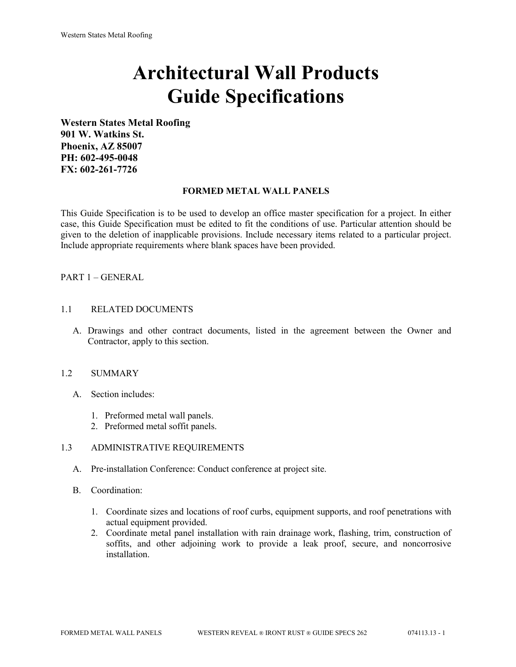# **Architectural Wall Products Guide Specifications**

**Western States Metal Roofing 901 W. Watkins St. Phoenix, AZ 85007 PH: 602-495-0048 FX: 602-261-7726**

# **FORMED METAL WALL PANELS**

This Guide Specification is to be used to develop an office master specification for a project. In either case, this Guide Specification must be edited to fit the conditions of use. Particular attention should be given to the deletion of inapplicable provisions. Include necessary items related to a particular project. Include appropriate requirements where blank spaces have been provided.

# PART 1 – GENERAL

#### 1.1 RELATED DOCUMENTS

A. Drawings and other contract documents, listed in the agreement between the Owner and Contractor, apply to this section.

#### 1.2 SUMMARY

- A. Section includes:
	- 1. Preformed metal wall panels.
	- 2. Preformed metal soffit panels.

#### 1.3 ADMINISTRATIVE REQUIREMENTS

- A. Pre-installation Conference: Conduct conference at project site.
- B. Coordination:
	- 1. Coordinate sizes and locations of roof curbs, equipment supports, and roof penetrations with actual equipment provided.
	- 2. Coordinate metal panel installation with rain drainage work, flashing, trim, construction of soffits, and other adjoining work to provide a leak proof, secure, and noncorrosive installation.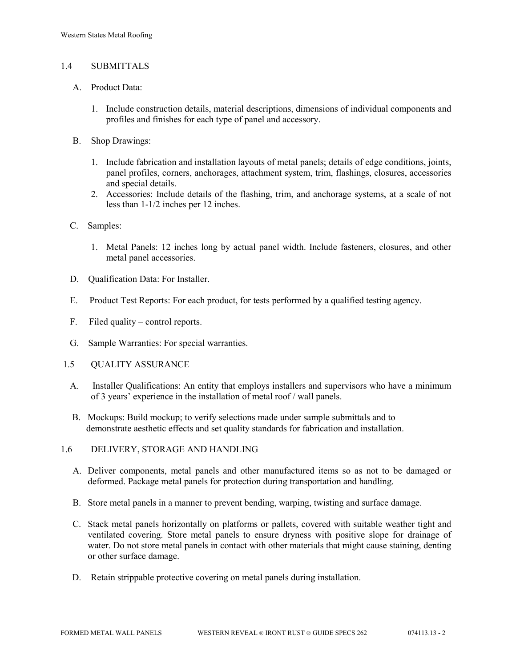# 1.4 SUBMITTALS

- A. Product Data:
	- 1. Include construction details, material descriptions, dimensions of individual components and profiles and finishes for each type of panel and accessory.
- B. Shop Drawings:
	- 1. Include fabrication and installation layouts of metal panels; details of edge conditions, joints, panel profiles, corners, anchorages, attachment system, trim, flashings, closures, accessories and special details.
	- 2. Accessories: Include details of the flashing, trim, and anchorage systems, at a scale of not less than 1-1/2 inches per 12 inches.
- C. Samples:
	- 1. Metal Panels: 12 inches long by actual panel width. Include fasteners, closures, and other metal panel accessories.
- D. Qualification Data: For Installer.
- E. Product Test Reports: For each product, for tests performed by a qualified testing agency.
- F. Filed quality control reports.
- G. Sample Warranties: For special warranties.
- 1.5 QUALITY ASSURANCE
	- A. Installer Qualifications: An entity that employs installers and supervisors who have a minimum of 3 years' experience in the installation of metal roof / wall panels.
	- B. Mockups: Build mockup; to verify selections made under sample submittals and to demonstrate aesthetic effects and set quality standards for fabrication and installation.
- 1.6 DELIVERY, STORAGE AND HANDLING
	- A. Deliver components, metal panels and other manufactured items so as not to be damaged or deformed. Package metal panels for protection during transportation and handling.
	- B. Store metal panels in a manner to prevent bending, warping, twisting and surface damage.
	- C. Stack metal panels horizontally on platforms or pallets, covered with suitable weather tight and ventilated covering. Store metal panels to ensure dryness with positive slope for drainage of water. Do not store metal panels in contact with other materials that might cause staining, denting or other surface damage.
	- D. Retain strippable protective covering on metal panels during installation.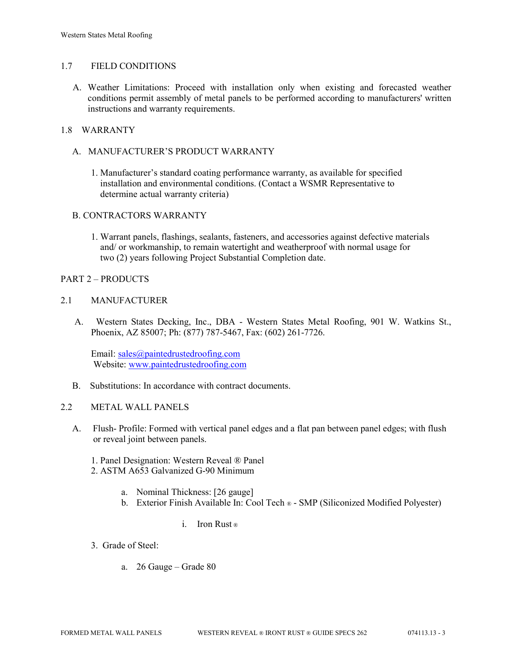## 1.7 FIELD CONDITIONS

A. Weather Limitations: Proceed with installation only when existing and forecasted weather conditions permit assembly of metal panels to be performed according to manufacturers' written instructions and warranty requirements.

# 1.8 WARRANTY

- A. MANUFACTURER'S PRODUCT WARRANTY
	- 1. Manufacturer's standard coating performance warranty, as available for specified installation and environmental conditions. (Contact a WSMR Representative to determine actual warranty criteria)

## B. CONTRACTORS WARRANTY

1. Warrant panels, flashings, sealants, fasteners, and accessories against defective materials and/ or workmanship, to remain watertight and weatherproof with normal usage for two (2) years following Project Substantial Completion date.

## PART 2 – PRODUCTS

## 2.1 MANUFACTURER

 A. Western States Decking, Inc., DBA - Western States Metal Roofing, 901 W. Watkins St., Phoenix, AZ 85007; Ph: (877) 787-5467, Fax: (602) 261-7726.

Email: [sales@paintedrustedroofing.com](mailto:sales@paintedrustedroofing.com) Website: [www.paintedrustedroofing.com](http://www.paintedrustedroofing.com/)

B. Substitutions: In accordance with contract documents.

#### 2.2 METAL WALL PANELS

- A. Flush- Profile: Formed with vertical panel edges and a flat pan between panel edges; with flush or reveal joint between panels.
	- 1. Panel Designation: Western Reveal ® Panel 2. ASTM A653 Galvanized G-90 Minimum
		- - a. Nominal Thickness: [26 gauge]
			- b. Exterior Finish Available In: Cool Tech ® SMP (Siliconized Modified Polyester)
				- i. Iron Rust ®
	- 3. Grade of Steel:
		- a. 26 Gauge Grade 80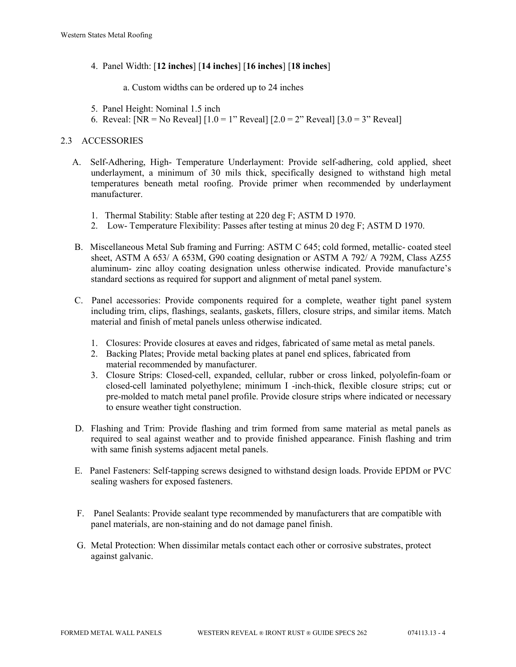4. Panel Width: [**12 inches**] [**14 inches**] [**16 inches**] [**18 inches**]

a. Custom widths can be ordered up to 24 inches

- 5. Panel Height: Nominal 1.5 inch
- 6. Reveal: [NR = No Reveal]  $[1.0 = 1$ " Reveal]  $[2.0 = 2$ " Reveal]  $[3.0 = 3$ " Reveal]

# 2.3 ACCESSORIES

- A. Self-Adhering, High- Temperature Underlayment: Provide self-adhering, cold applied, sheet underlayment, a minimum of 30 mils thick, specifically designed to withstand high metal temperatures beneath metal roofing. Provide primer when recommended by underlayment manufacturer.
	- 1. Thermal Stability: Stable after testing at 220 deg F; ASTM D 1970.
	- 2. Low- Temperature Flexibility: Passes after testing at minus 20 deg F; ASTM D 1970.
- B. Miscellaneous Metal Sub framing and Furring: ASTM C 645; cold formed, metallic- coated steel sheet, ASTM A 653/ A 653M, G90 coating designation or ASTM A 792/ A 792M, Class AZ55 aluminum- zinc alloy coating designation unless otherwise indicated. Provide manufacture's standard sections as required for support and alignment of metal panel system.
- C. Panel accessories: Provide components required for a complete, weather tight panel system including trim, clips, flashings, sealants, gaskets, fillers, closure strips, and similar items. Match material and finish of metal panels unless otherwise indicated.
	- 1. Closures: Provide closures at eaves and ridges, fabricated of same metal as metal panels.
	- 2. Backing Plates; Provide metal backing plates at panel end splices, fabricated from material recommended by manufacturer.
	- 3. Closure Strips: Closed-cell, expanded, cellular, rubber or cross linked, polyolefin-foam or closed-cell laminated polyethylene; minimum I -inch-thick, flexible closure strips; cut or pre-molded to match metal panel profile. Provide closure strips where indicated or necessary to ensure weather tight construction.
- D. Flashing and Trim: Provide flashing and trim formed from same material as metal panels as required to seal against weather and to provide finished appearance. Finish flashing and trim with same finish systems adjacent metal panels.
- E. Panel Fasteners: Self-tapping screws designed to withstand design loads. Provide EPDM or PVC sealing washers for exposed fasteners.
- F. Panel Sealants: Provide sealant type recommended by manufacturers that are compatible with panel materials, are non-staining and do not damage panel finish.
- G. Metal Protection: When dissimilar metals contact each other or corrosive substrates, protect against galvanic.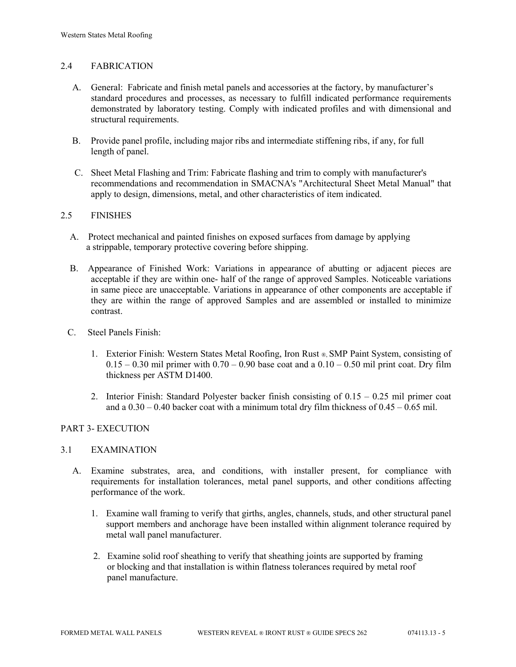# 2.4 FABRICATION

- A. General: Fabricate and finish metal panels and accessories at the factory, by manufacturer's standard procedures and processes, as necessary to fulfill indicated performance requirements demonstrated by laboratory testing. Comply with indicated profiles and with dimensional and structural requirements.
- B. Provide panel profile, including major ribs and intermediate stiffening ribs, if any, for full length of panel.
- C. Sheet Metal Flashing and Trim: Fabricate flashing and trim to comply with manufacturer's recommendations and recommendation in SMACNA's "Architectural Sheet Metal Manual" that apply to design, dimensions, metal, and other characteristics of item indicated.

## 2.5 FINISHES

- A. Protect mechanical and painted finishes on exposed surfaces from damage by applying a strippable, temporary protective covering before shipping.
- B. Appearance of Finished Work: Variations in appearance of abutting or adjacent pieces are acceptable if they are within one- half of the range of approved Samples. Noticeable variations in same piece are unacceptable. Variations in appearance of other components are acceptable if they are within the range of approved Samples and are assembled or installed to minimize contrast.
- C. Steel Panels Finish:
	- 1. Exterior Finish: Western States Metal Roofing, Iron Rust ®, SMP Paint System, consisting of  $0.15 - 0.30$  mil primer with  $0.70 - 0.90$  base coat and a  $0.10 - 0.50$  mil print coat. Dry film thickness per ASTM D1400.
	- 2. Interior Finish: Standard Polyester backer finish consisting of 0.15 0.25 mil primer coat and a  $0.30 - 0.40$  backer coat with a minimum total dry film thickness of  $0.45 - 0.65$  mil.

# PART 3- EXECUTION

#### 3.1 EXAMINATION

- A. Examine substrates, area, and conditions, with installer present, for compliance with requirements for installation tolerances, metal panel supports, and other conditions affecting performance of the work.
	- 1. Examine wall framing to verify that girths, angles, channels, studs, and other structural panel support members and anchorage have been installed within alignment tolerance required by metal wall panel manufacturer.
	- 2. Examine solid roof sheathing to verify that sheathing joints are supported by framing or blocking and that installation is within flatness tolerances required by metal roof panel manufacture.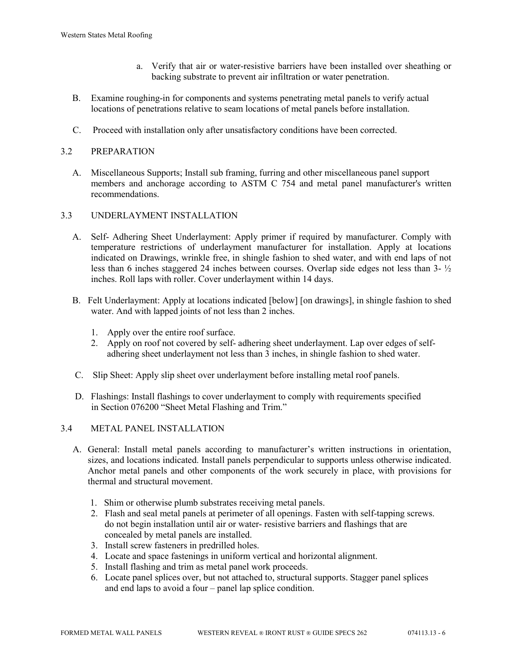- a. Verify that air or water-resistive barriers have been installed over sheathing or backing substrate to prevent air infiltration or water penetration.
- B. Examine roughing-in for components and systems penetrating metal panels to verify actual locations of penetrations relative to seam locations of metal panels before installation.
- C. Proceed with installation only after unsatisfactory conditions have been corrected.

# 3.2 PREPARATION

 A. Miscellaneous Supports; Install sub framing, furring and other miscellaneous panel support members and anchorage according to ASTM C 754 and metal panel manufacturer's written recommendations.

# 3.3 UNDERLAYMENT INSTALLATION

- A. Self- Adhering Sheet Underlayment: Apply primer if required by manufacturer. Comply with temperature restrictions of underlayment manufacturer for installation. Apply at locations indicated on Drawings, wrinkle free, in shingle fashion to shed water, and with end laps of not less than 6 inches staggered 24 inches between courses. Overlap side edges not less than 3- ½ inches. Roll laps with roller. Cover underlayment within 14 days.
- B. Felt Underlayment: Apply at locations indicated [below] [on drawings], in shingle fashion to shed water. And with lapped joints of not less than 2 inches.
	- 1. Apply over the entire roof surface.
	- 2. Apply on roof not covered by self- adhering sheet underlayment. Lap over edges of self adhering sheet underlayment not less than 3 inches, in shingle fashion to shed water.
- C. Slip Sheet: Apply slip sheet over underlayment before installing metal roof panels.
- D. Flashings: Install flashings to cover underlayment to comply with requirements specified in Section 076200 "Sheet Metal Flashing and Trim."

# 3.4 METAL PANEL INSTALLATION

- A. General: Install metal panels according to manufacturer's written instructions in orientation, sizes, and locations indicated. Install panels perpendicular to supports unless otherwise indicated. Anchor metal panels and other components of the work securely in place, with provisions for thermal and structural movement.
	- 1. Shim or otherwise plumb substrates receiving metal panels.
	- 2. Flash and seal metal panels at perimeter of all openings. Fasten with self-tapping screws. do not begin installation until air or water- resistive barriers and flashings that are concealed by metal panels are installed.
	- 3. Install screw fasteners in predrilled holes.
	- 4. Locate and space fastenings in uniform vertical and horizontal alignment.
	- 5. Install flashing and trim as metal panel work proceeds.
	- 6. Locate panel splices over, but not attached to, structural supports. Stagger panel splices and end laps to avoid a four – panel lap splice condition.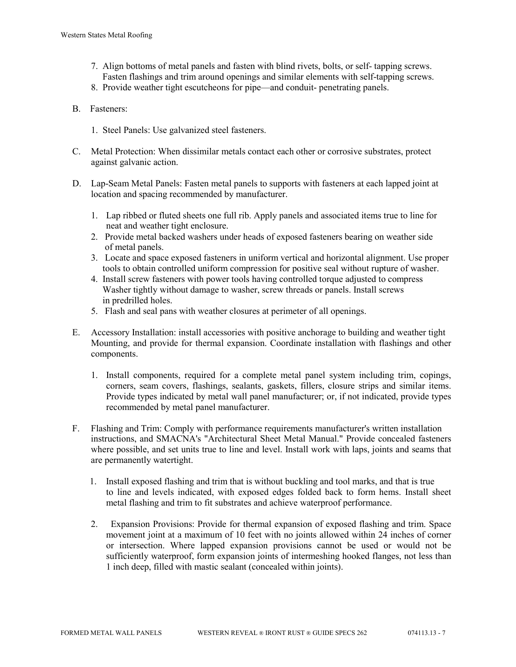- 7. Align bottoms of metal panels and fasten with blind rivets, bolts, or self- tapping screws. Fasten flashings and trim around openings and similar elements with self-tapping screws.
- 8. Provide weather tight escutcheons for pipe—and conduit- penetrating panels.
- B. Fasteners:
	- 1. Steel Panels: Use galvanized steel fasteners.
- C. Metal Protection: When dissimilar metals contact each other or corrosive substrates, protect against galvanic action.
- D. Lap-Seam Metal Panels: Fasten metal panels to supports with fasteners at each lapped joint at location and spacing recommended by manufacturer.
	- 1. Lap ribbed or fluted sheets one full rib. Apply panels and associated items true to line for neat and weather tight enclosure.
	- 2. Provide metal backed washers under heads of exposed fasteners bearing on weather side of metal panels.
	- 3. Locate and space exposed fasteners in uniform vertical and horizontal alignment. Use proper tools to obtain controlled uniform compression for positive seal without rupture of washer.
	- 4. Install screw fasteners with power tools having controlled torque adjusted to compress Washer tightly without damage to washer, screw threads or panels. Install screws in predrilled holes.
	- 5. Flash and seal pans with weather closures at perimeter of all openings.
- E. Accessory Installation: install accessories with positive anchorage to building and weather tight Mounting, and provide for thermal expansion. Coordinate installation with flashings and other components.
	- 1. Install components, required for a complete metal panel system including trim, copings, corners, seam covers, flashings, sealants, gaskets, fillers, closure strips and similar items. Provide types indicated by metal wall panel manufacturer; or, if not indicated, provide types recommended by metal panel manufacturer.
- F. Flashing and Trim: Comply with performance requirements manufacturer's written installation instructions, and SMACNA's "Architectural Sheet Metal Manual." Provide concealed fasteners where possible, and set units true to line and level. Install work with laps, joints and seams that are permanently watertight.
	- 1. Install exposed flashing and trim that is without buckling and tool marks, and that is true to line and levels indicated, with exposed edges folded back to form hems. Install sheet metal flashing and trim to fit substrates and achieve waterproof performance.
	- 2. Expansion Provisions: Provide for thermal expansion of exposed flashing and trim. Space movement joint at a maximum of 10 feet with no joints allowed within 24 inches of corner or intersection. Where lapped expansion provisions cannot be used or would not be sufficiently waterproof, form expansion joints of intermeshing hooked flanges, not less than 1 inch deep, filled with mastic sealant (concealed within joints).